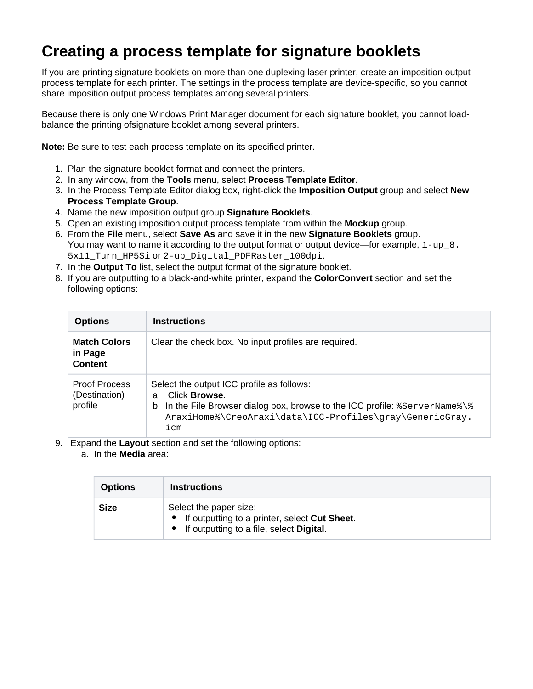## **Creating a process template for signature booklets**

If you are printing signature booklets on more than one duplexing laser printer, create an imposition output process template for each printer. The settings in the process template are device-specific, so you cannot share imposition output process templates among several printers.

Because there is only one Windows Print Manager document for each signature booklet, you cannot loadbalance the printing ofsignature booklet among several printers.

**Note:** Be sure to test each process template on its specified printer.

- 1. Plan the signature booklet format and connect the printers.
- 2. In any window, from the **Tools** menu, select **Process Template Editor**.
- 3. In the Process Template Editor dialog box, right-click the **Imposition Output** group and select **New Process Template Group**.
- 4. Name the new imposition output group **Signature Booklets**.
- 5. Open an existing imposition output process template from within the **Mockup** group.
- 6. From the **File** menu, select **Save As** and save it in the new **Signature Booklets** group. You may want to name it according to the output format or output device—for example,  $1-\mu p 8$ . 5x11 Turn HP5Si Of 2-up Digital PDFRaster 100dpi.
- 7. In the **Output To** list, select the output format of the signature booklet.
- 8. If you are outputting to a black-and-white printer, expand the **ColorConvert** section and set the following options:

| <b>Options</b>                                   | <b>Instructions</b>                                                                                                                                                                                                          |
|--------------------------------------------------|------------------------------------------------------------------------------------------------------------------------------------------------------------------------------------------------------------------------------|
| <b>Match Colors</b><br>in Page<br><b>Content</b> | Clear the check box. No input profiles are required.                                                                                                                                                                         |
| <b>Proof Process</b><br>(Destination)<br>profile | Select the output ICC profile as follows:<br>a. Click <b>Browse</b> .<br>b. In the File Browser dialog box, browse to the ICC profile: $s$ ServerName $\$<br>AraxiHome%\CreoAraxi\data\ICC-Profiles\gray\GenericGray.<br>icm |

- 9. Expand the **Layout** section and set the following options:
	- a. In the **Media** area:

| <b>Options</b> | <b>Instructions</b>                                                                                                     |
|----------------|-------------------------------------------------------------------------------------------------------------------------|
| <b>Size</b>    | Select the paper size:<br>• If outputting to a printer, select Cut Sheet.<br>• If outputting to a file, select Digital. |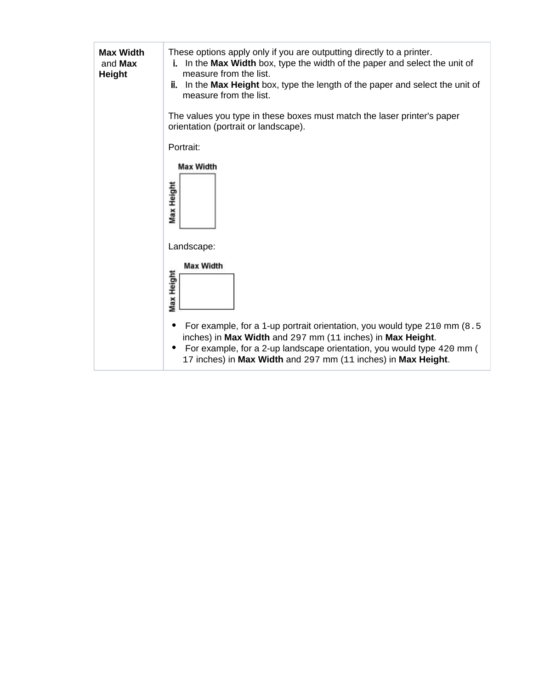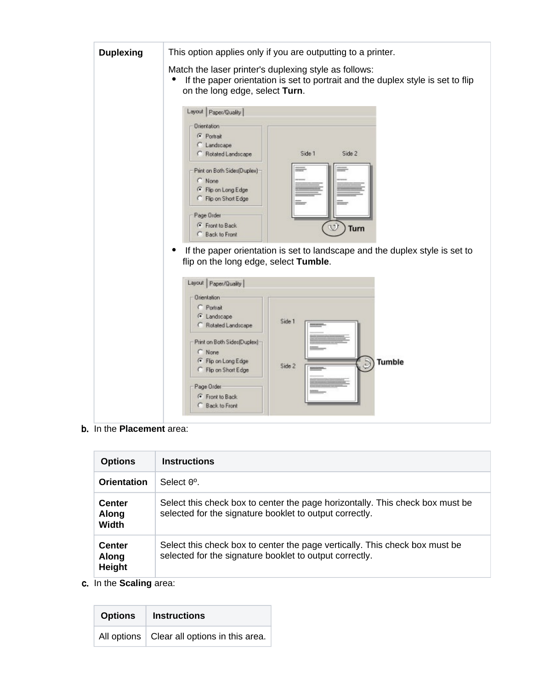

b. In the **Placement** area:

| <b>Options</b>                         | <b>Instructions</b>                                                                                                                      |
|----------------------------------------|------------------------------------------------------------------------------------------------------------------------------------------|
| <b>Orientation</b>                     | Select $0^{\circ}$ .                                                                                                                     |
| <b>Center</b><br>Along<br><b>Width</b> | Select this check box to center the page horizontally. This check box must be<br>selected for the signature booklet to output correctly. |
| <b>Center</b><br>Along<br>Height       | Select this check box to center the page vertically. This check box must be<br>selected for the signature booklet to output correctly.   |

c. In the **Scaling** area:

| <b>Options</b> | <b>Instructions</b>                           |
|----------------|-----------------------------------------------|
|                | All options   Clear all options in this area. |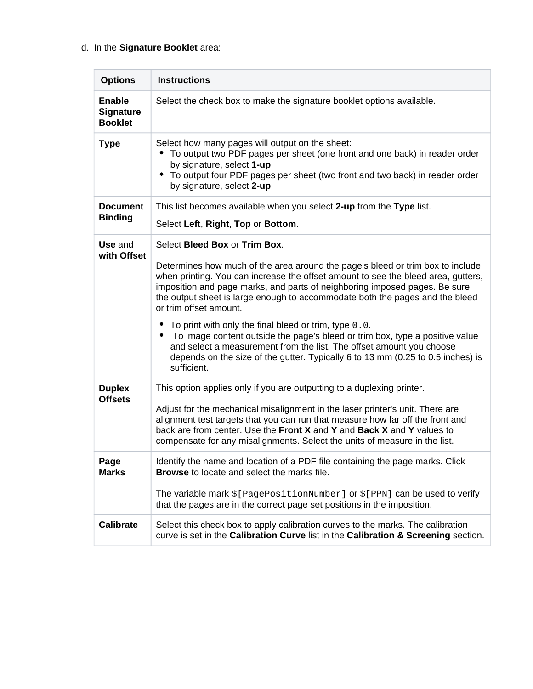## d. In the **Signature Booklet** area:

| <b>Options</b>                                      | <b>Instructions</b>                                                                                                                                                                                                                                                                                                                                                                                                                                                                                                                                                                                                                                                                                             |
|-----------------------------------------------------|-----------------------------------------------------------------------------------------------------------------------------------------------------------------------------------------------------------------------------------------------------------------------------------------------------------------------------------------------------------------------------------------------------------------------------------------------------------------------------------------------------------------------------------------------------------------------------------------------------------------------------------------------------------------------------------------------------------------|
| <b>Enable</b><br><b>Signature</b><br><b>Booklet</b> | Select the check box to make the signature booklet options available.                                                                                                                                                                                                                                                                                                                                                                                                                                                                                                                                                                                                                                           |
| <b>Type</b>                                         | Select how many pages will output on the sheet:<br>To output two PDF pages per sheet (one front and one back) in reader order<br>by signature, select 1-up.<br>• To output four PDF pages per sheet (two front and two back) in reader order<br>by signature, select 2-up.                                                                                                                                                                                                                                                                                                                                                                                                                                      |
| <b>Document</b><br><b>Binding</b>                   | This list becomes available when you select 2-up from the Type list.<br>Select Left, Right, Top or Bottom.                                                                                                                                                                                                                                                                                                                                                                                                                                                                                                                                                                                                      |
| Use and<br>with Offset                              | Select Bleed Box or Trim Box.<br>Determines how much of the area around the page's bleed or trim box to include<br>when printing. You can increase the offset amount to see the bleed area, gutters,<br>imposition and page marks, and parts of neighboring imposed pages. Be sure<br>the output sheet is large enough to accommodate both the pages and the bleed<br>or trim offset amount.<br>To print with only the final bleed or trim, type 0.0.<br>To image content outside the page's bleed or trim box, type a positive value<br>and select a measurement from the list. The offset amount you choose<br>depends on the size of the gutter. Typically 6 to 13 mm (0.25 to 0.5 inches) is<br>sufficient. |
| <b>Duplex</b><br><b>Offsets</b>                     | This option applies only if you are outputting to a duplexing printer.<br>Adjust for the mechanical misalignment in the laser printer's unit. There are<br>alignment test targets that you can run that measure how far off the front and<br>back are from center. Use the Front X and Y and Back X and Y values to<br>compensate for any misalignments. Select the units of measure in the list.                                                                                                                                                                                                                                                                                                               |
| Page<br><b>Marks</b>                                | Identify the name and location of a PDF file containing the page marks. Click<br><b>Browse</b> to locate and select the marks file.<br>The variable mark $\S$ [PagePositionNumber] or $\S$ [PPN] can be used to verify<br>that the pages are in the correct page set positions in the imposition.                                                                                                                                                                                                                                                                                                                                                                                                               |
| <b>Calibrate</b>                                    | Select this check box to apply calibration curves to the marks. The calibration<br>curve is set in the Calibration Curve list in the Calibration & Screening section.                                                                                                                                                                                                                                                                                                                                                                                                                                                                                                                                           |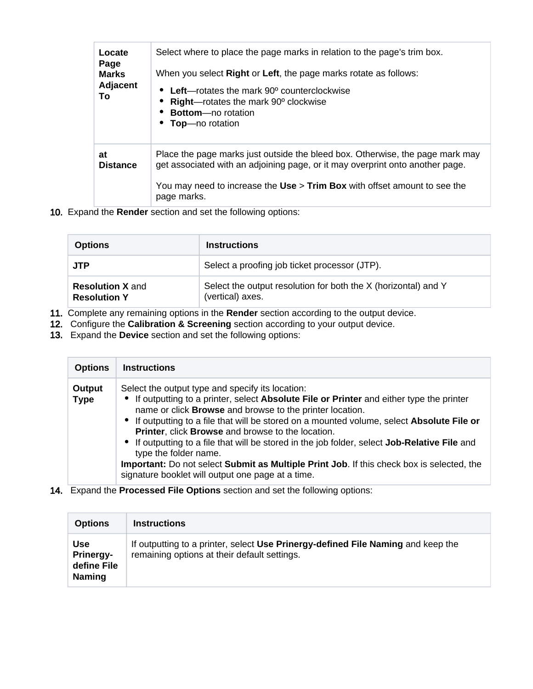| Locate<br>Page<br><b>Marks</b><br>Adjacent<br>To | Select where to place the page marks in relation to the page's trim box.<br>When you select <b>Right</b> or Left, the page marks rotate as follows:<br>• Left—rotates the mark $90^{\circ}$ counterclockwise<br><b>Right</b> —rotates the mark $90^\circ$ clockwise<br><b>Bottom-no rotation</b><br>• Top-no rotation |
|--------------------------------------------------|-----------------------------------------------------------------------------------------------------------------------------------------------------------------------------------------------------------------------------------------------------------------------------------------------------------------------|
| at<br><b>Distance</b>                            | Place the page marks just outside the bleed box. Otherwise, the page mark may<br>get associated with an adjoining page, or it may overprint onto another page.<br>You may need to increase the Use > Trim Box with offset amount to see the<br>page marks.                                                            |

10. Expand the **Render** section and set the following options:

| <b>Options</b>                                 | <b>Instructions</b>                                                                |
|------------------------------------------------|------------------------------------------------------------------------------------|
| <b>JTP</b>                                     | Select a proofing job ticket processor (JTP).                                      |
| <b>Resolution X and</b><br><b>Resolution Y</b> | Select the output resolution for both the X (horizontal) and Y<br>(vertical) axes. |

- 11. Complete any remaining options in the **Render** section according to the output device.
- 12. Configure the **Calibration & Screening** section according to your output device.
- 13. Expand the **Device** section and set the following options:

| <b>Options</b>        | <b>Instructions</b>                                                                                                                                                                                                                                                                                                                                                                                                                                                                                                                                                                                                                      |
|-----------------------|------------------------------------------------------------------------------------------------------------------------------------------------------------------------------------------------------------------------------------------------------------------------------------------------------------------------------------------------------------------------------------------------------------------------------------------------------------------------------------------------------------------------------------------------------------------------------------------------------------------------------------------|
| Output<br><b>Type</b> | Select the output type and specify its location:<br>• If outputting to a printer, select Absolute File or Printer and either type the printer<br>name or click Browse and browse to the printer location.<br>• If outputting to a file that will be stored on a mounted volume, select Absolute File or<br>Printer, click Browse and browse to the location.<br>• If outputting to a file that will be stored in the job folder, select Job-Relative File and<br>type the folder name.<br>Important: Do not select Submit as Multiple Print Job. If this check box is selected, the<br>signature booklet will output one page at a time. |

14. Expand the **Processed File Options** section and set the following options:

| <b>Options</b>                                          | <b>Instructions</b>                                                                                                              |
|---------------------------------------------------------|----------------------------------------------------------------------------------------------------------------------------------|
| Use<br><b>Prinergy-</b><br>define File<br><b>Naming</b> | If outputting to a printer, select Use Prinergy-defined File Naming and keep the<br>remaining options at their default settings. |